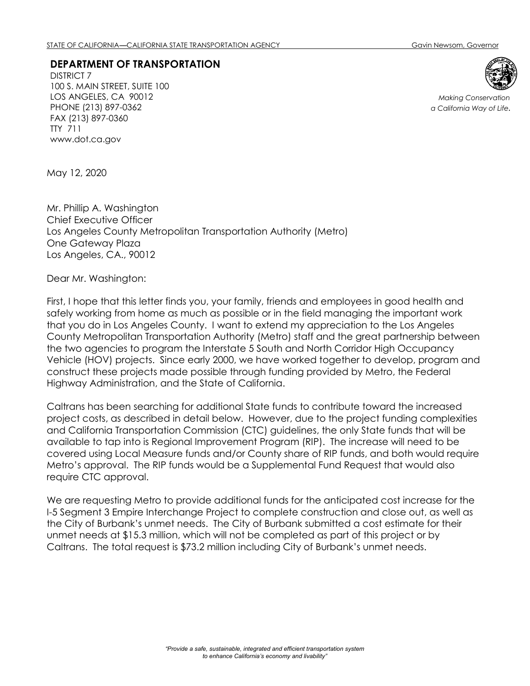## **DEPARTMENT OF TRANSPORTATION**

DISTRICT 7 100 S. MAIN STREET, SUITE 100 LOS ANGELES, CA 90012 PHONE (213) 897-0362 FAX (213) 897-0360 TTY 711 www.dot.ca.gov



*Making Conservation a California Way of Life.*

May 12, 2020

Mr. Phillip A. Washington Chief Executive Officer Los Angeles County Metropolitan Transportation Authority (Metro) One Gateway Plaza Los Angeles, CA., 90012

Dear Mr. Washington:

First, I hope that this letter finds you, your family, friends and employees in good health and safely working from home as much as possible or in the field managing the important work that you do in Los Angeles County. I want to extend my appreciation to the Los Angeles County Metropolitan Transportation Authority (Metro) staff and the great partnership between the two agencies to program the Interstate 5 South and North Corridor High Occupancy Vehicle (HOV) projects. Since early 2000, we have worked together to develop, program and construct these projects made possible through funding provided by Metro, the Federal Highway Administration, and the State of California.

Caltrans has been searching for additional State funds to contribute toward the increased project costs, as described in detail below. However, due to the project funding complexities and California Transportation Commission (CTC) guidelines, the only State funds that will be available to tap into is Regional Improvement Program (RIP). The increase will need to be covered using Local Measure funds and/or County share of RIP funds, and both would require Metro's approval. The RIP funds would be a Supplemental Fund Request that would also require CTC approval.

We are requesting Metro to provide additional funds for the anticipated cost increase for the I-5 Segment 3 Empire Interchange Project to complete construction and close out, as well as the City of Burbank's unmet needs. The City of Burbank submitted a cost estimate for their unmet needs at \$15.3 million, which will not be completed as part of this project or by Caltrans. The total request is \$73.2 million including City of Burbank's unmet needs.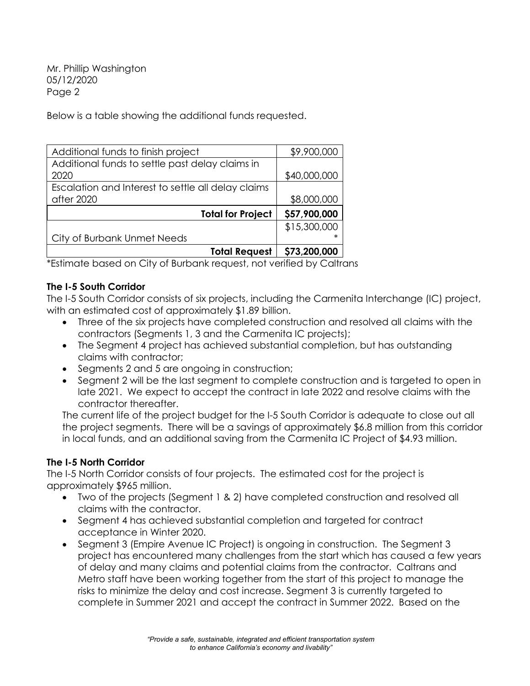Mr. Phillip Washington 05/12/2020 Page 2

Below is a table showing the additional funds requested.

| Additional funds to finish project                 | \$9,900,000  |
|----------------------------------------------------|--------------|
| Additional funds to settle past delay claims in    |              |
| 2020                                               | \$40,000,000 |
| Escalation and Interest to settle all delay claims |              |
| after 2020                                         | \$8,000,000  |
| <b>Total for Project</b>                           | \$57,900,000 |
|                                                    | \$15,300,000 |
| City of Burbank Unmet Needs                        |              |
| <b>Total Request</b>                               | \$73,200,000 |

\*Estimate based on City of Burbank request, not verified by Caltrans

## **The I-5 South Corridor**

The I-5 South Corridor consists of six projects, including the Carmenita Interchange (IC) project, with an estimated cost of approximately \$1.89 billion.

- Three of the six projects have completed construction and resolved all claims with the contractors (Segments 1, 3 and the Carmenita IC projects);
- The Segment 4 project has achieved substantial completion, but has outstanding claims with contractor;
- Segments 2 and 5 are ongoing in construction;
- Segment 2 will be the last segment to complete construction and is targeted to open in late 2021. We expect to accept the contract in late 2022 and resolve claims with the contractor thereafter.

The current life of the project budget for the I-5 South Corridor is adequate to close out all the project segments. There will be a savings of approximately \$6.8 million from this corridor in local funds, and an additional saving from the Carmenita IC Project of \$4.93 million.

## **The I-5 North Corridor**

The I-5 North Corridor consists of four projects. The estimated cost for the project is approximately \$965 million.

- Two of the projects (Segment 1 & 2) have completed construction and resolved all claims with the contractor.
- Segment 4 has achieved substantial completion and targeted for contract acceptance in Winter 2020.
- Segment 3 (Empire Avenue IC Project) is ongoing in construction. The Segment 3 project has encountered many challenges from the start which has caused a few years of delay and many claims and potential claims from the contractor. Caltrans and Metro staff have been working together from the start of this project to manage the risks to minimize the delay and cost increase. Segment 3 is currently targeted to complete in Summer 2021 and accept the contract in Summer 2022. Based on the